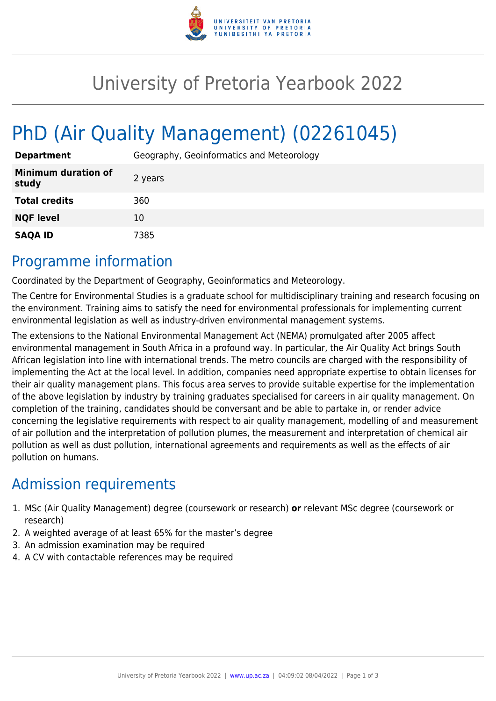

## University of Pretoria Yearbook 2022

# PhD (Air Quality Management) (02261045)

| <b>Department</b>                   | Geography, Geoinformatics and Meteorology |
|-------------------------------------|-------------------------------------------|
| <b>Minimum duration of</b><br>study | 2 years                                   |
| <b>Total credits</b>                | 360                                       |
| <b>NQF level</b>                    | 10                                        |
| <b>SAQA ID</b>                      | 7385                                      |

#### Programme information

Coordinated by the Department of Geography, Geoinformatics and Meteorology.

The Centre for Environmental Studies is a graduate school for multidisciplinary training and research focusing on the environment. Training aims to satisfy the need for environmental professionals for implementing current environmental legislation as well as industry-driven environmental management systems.

The extensions to the National Environmental Management Act (NEMA) promulgated after 2005 affect environmental management in South Africa in a profound way. In particular, the Air Quality Act brings South African legislation into line with international trends. The metro councils are charged with the responsibility of implementing the Act at the local level. In addition, companies need appropriate expertise to obtain licenses for their air quality management plans. This focus area serves to provide suitable expertise for the implementation of the above legislation by industry by training graduates specialised for careers in air quality management. On completion of the training, candidates should be conversant and be able to partake in, or render advice concerning the legislative requirements with respect to air quality management, modelling of and measurement of air pollution and the interpretation of pollution plumes, the measurement and interpretation of chemical air pollution as well as dust pollution, international agreements and requirements as well as the effects of air pollution on humans.

## Admission requirements

- 1. MSc (Air Quality Management) degree (coursework or research) **or** relevant MSc degree (coursework or research)
- 2. A weighted average of at least 65% for the master's degree
- 3. An admission examination may be required
- 4. A CV with contactable references may be required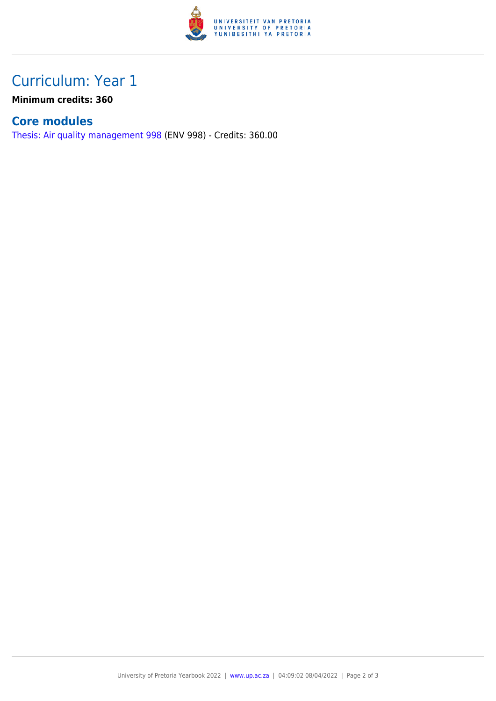

### Curriculum: Year 1

**Minimum credits: 360**

#### **Core modules**

[Thesis: Air quality management 998](https://www.up.ac.za/parents/yearbooks/2022/modules/view/ENV 998) (ENV 998) - Credits: 360.00